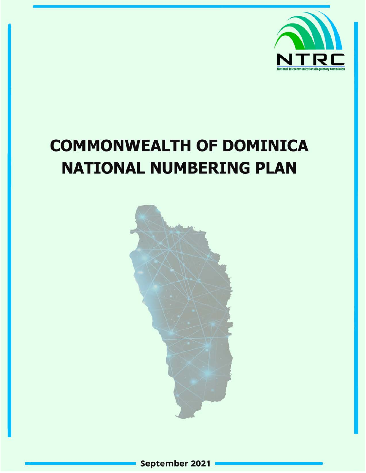

# **COMMONWEALTH OF DOMINICA NATIONAL NUMBERING PLAN**

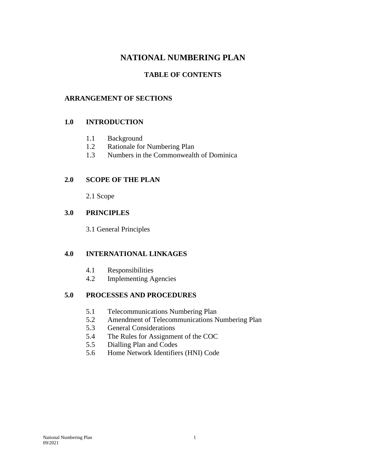## **NATIONAL NUMBERING PLAN**

#### **TABLE OF CONTENTS**

#### **ARRANGEMENT OF SECTIONS**

#### **1.0 INTRODUCTION**

- 1.1 Background
- 1.2 Rationale for Numbering Plan
- 1.3 Numbers in the Commonwealth of Dominica

#### **2.0 SCOPE OF THE PLAN**

2.1 Scope

#### **3.0 PRINCIPLES**

3.1 General Principles

#### **4.0 INTERNATIONAL LINKAGES**

- 4.1 Responsibilities
- 4.2 Implementing Agencies

#### **5.0 PROCESSES AND PROCEDURES**

- 5.1 Telecommunications Numbering Plan
- 5.2 Amendment of Telecommunications Numbering Plan
- 5.3 General Considerations
- 5.4 The Rules for Assignment of the COC
- 5.5 Dialling Plan and Codes
- 5.6 Home Network Identifiers (HNI) Code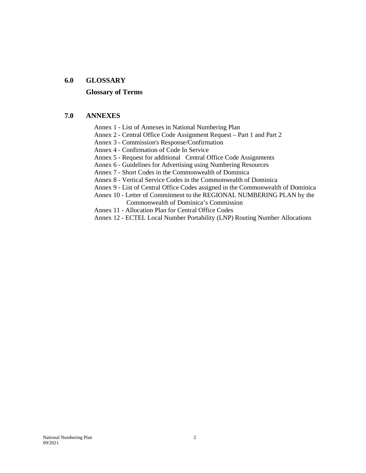#### **6.0 GLOSSARY**

#### **Glossary of Terms**

#### **7.0 ANNEXES**

- Annex 1 List of Annexes in National Numbering Plan
- Annex 2 Central Office Code Assignment Request Part 1 and Part 2
- Annex 3 Commission's Response/Confirmation
- Annex 4 Confirmation of Code In Service
- Annex 5 Request for additional Central Office Code Assignments
- Annex 6 Guidelines for Advertising using Numbering Resources
- Annex 7 Short Codes in the Commonwealth of Dominica
- Annex 8 Vertical Service Codes in the Commonwealth of Dominica
- Annex 9 List of Central Office Codes assigned in the Commonwealth of Dominica
- Annex 10 Letter of Commitment to the REGIONAL NUMBERING PLAN by the Commonwealth of Dominica's Commission
- Annex 11 Allocation Plan for Central Office Codes
- Annex 12 ECTEL Local Number Portability (LNP) Routing Number Allocations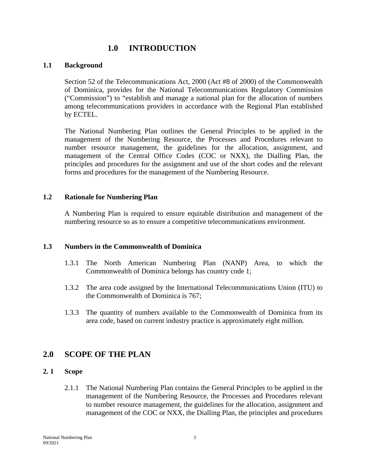## **1.0 INTRODUCTION**

#### **1.1 Background**

Section 52 of the Telecommunications Act, 2000 (Act #8 of 2000) of the Commonwealth of Dominica, provides for the National Telecommunications Regulatory Commission ("Commission") to "establish and manage a national plan for the allocation of numbers among telecommunications providers in accordance with the Regional Plan established by ECTEL.

The National Numbering Plan outlines the General Principles to be applied in the management of the Numbering Resource, the Processes and Procedures relevant to number resource management, the guidelines for the allocation, assignment, and management of the Central Office Codes (COC or NXX), the Dialling Plan, the principles and procedures for the assignment and use of the short codes and the relevant forms and procedures for the management of the Numbering Resource.

#### **1.2 Rationale for Numbering Plan**

A Numbering Plan is required to ensure equitable distribution and management of the numbering resource so as to ensure a competitive telecommunications environment.

#### **1.3 Numbers in the Commonwealth of Dominica**

- 1.3.1 The North American Numbering Plan (NANP) Area, to which the Commonwealth of Dominica belongs has country code 1;
- 1.3.2 The area code assigned by the International Telecommunications Union (ITU) to the Commonwealth of Dominica is 767;
- 1.3.3 The quantity of numbers available to the Commonwealth of Dominica from its area code, based on current industry practice is approximately eight million.

#### **2.0 SCOPE OF THE PLAN**

#### **2. 1 Scope**

2.1.1 The National Numbering Plan contains the General Principles to be applied in the management of the Numbering Resource, the Processes and Procedures relevant to number resource management, the guidelines for the allocation, assignment and management of the COC or NXX, the Dialling Plan, the principles and procedures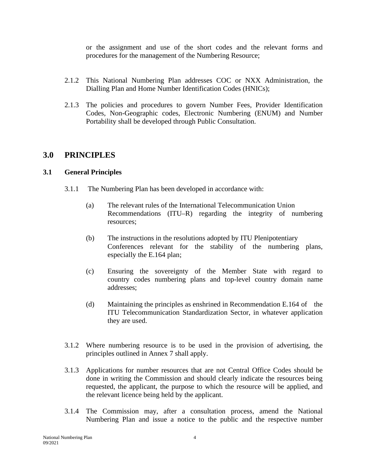or the assignment and use of the short codes and the relevant forms and procedures for the management of the Numbering Resource;

- 2.1.2 This National Numbering Plan addresses COC or NXX Administration, the Dialling Plan and Home Number Identification Codes (HNICs);
- 2.1.3 The policies and procedures to govern Number Fees, Provider Identification Codes, Non-Geographic codes, Electronic Numbering (ENUM) and Number Portability shall be developed through Public Consultation.

#### **3.0 PRINCIPLES**

#### **3.1 General Principles**

- 3.1.1 The Numbering Plan has been developed in accordance with:
	- (a) The relevant rules of the International Telecommunication Union Recommendations (ITU–R) regarding the integrity of numbering resources;
	- (b) The instructions in the resolutions adopted by ITU Plenipotentiary Conferences relevant for the stability of the numbering plans, especially the E.164 plan;
	- (c) Ensuring the sovereignty of the Member State with regard to country codes numbering plans and top-level country domain name addresses;
	- (d) Maintaining the principles as enshrined in Recommendation E.164 of the ITU Telecommunication Standardization Sector, in whatever application they are used.
- 3.1.2 Where numbering resource is to be used in the provision of advertising, the principles outlined in Annex 7 shall apply.
- 3.1.3 Applications for number resources that are not Central Office Codes should be done in writing the Commission and should clearly indicate the resources being requested, the applicant, the purpose to which the resource will be applied, and the relevant licence being held by the applicant.
- 3.1.4 The Commission may, after a consultation process, amend the National Numbering Plan and issue a notice to the public and the respective number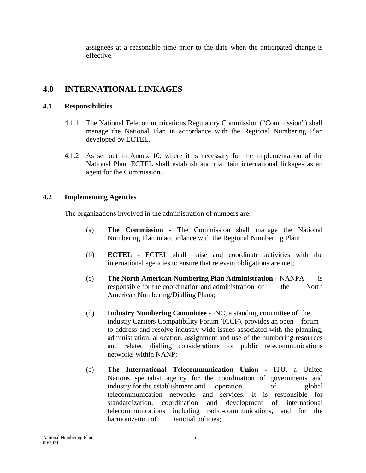assignees at a reasonable time prior to the date when the anticipated change is effective.

## **4.0 INTERNATIONAL LINKAGES**

#### **4.1 Responsibilities**

- 4.1.1 The National Telecommunications Regulatory Commission ("Commission") shall manage the National Plan in accordance with the Regional Numbering Plan developed by ECTEL.
- 4.1.2 As set out in Annex 10, where it is necessary for the implementation of the National Plan, ECTEL shall establish and maintain international linkages as an agent for the Commission.

#### **4.2 Implementing Agencies**

The organizations involved in the administration of numbers are:

- (a) **The Commission** The Commission shall manage the National Numbering Plan in accordance with the Regional Numbering Plan;
- (b) **ECTEL -** ECTEL shall liaise and coordinate activities with the international agencies to ensure that relevant obligations are met;
- (c) **The North American Numbering Plan Administration** NANPA is responsible for the coordination and administration of the North American Numbering/Dialling Plans;
- (d) **Industry Numbering Committee -** INC, a standing committee of the industry Carriers Compatibility Forum (ICCF), provides an open forum to address and resolve industry-wide issues associated with the planning, administration, allocation, assignment and use of the numbering resources and related dialling considerations for public telecommunications networks within NANP;
- (e) **The International Telecommunication Union -** ITU, a United Nations specialist agency for the coordination of governments and industry for the establishment and operation of global telecommunication networks and services. It is responsible for standardization, coordination and development of international telecommunications including radio-communications, and for the harmonization of national policies;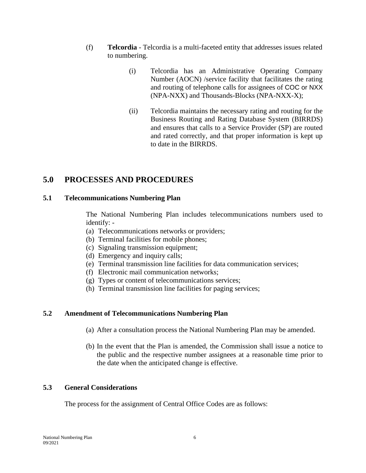- (f) **Telcordia**  Telcordia is a multi-faceted entity that addresses issues related to numbering.
	- (i) Telcordia has an Administrative Operating Company Number (AOCN) /service facility that facilitates the rating and routing of telephone calls for assignees of COC or NXX (NPA-NXX) and Thousands-Blocks (NPA-NXX-X);
	- (ii) Telcordia maintains the necessary rating and routing for the Business Routing and Rating Database System (BIRRDS) and ensures that calls to a Service Provider (SP) are routed and rated correctly, and that proper information is kept up to date in the BIRRDS.

## **5.0 PROCESSES AND PROCEDURES**

#### **5.1 Telecommunications Numbering Plan**

The National Numbering Plan includes telecommunications numbers used to identify: -

- (a) Telecommunications networks or providers;
- (b) Terminal facilities for mobile phones;
- (c) Signaling transmission equipment;
- (d) Emergency and inquiry calls;
- (e) Terminal transmission line facilities for data communication services;
- (f) Electronic mail communication networks;
- (g) Types or content of telecommunications services;
- (h) Terminal transmission line facilities for paging services;

#### **5.2 Amendment of Telecommunications Numbering Plan**

- (a) After a consultation process the National Numbering Plan may be amended.
- (b) In the event that the Plan is amended, the Commission shall issue a notice to the public and the respective number assignees at a reasonable time prior to the date when the anticipated change is effective.

#### **5.3 General Considerations**

The process for the assignment of Central Office Codes are as follows: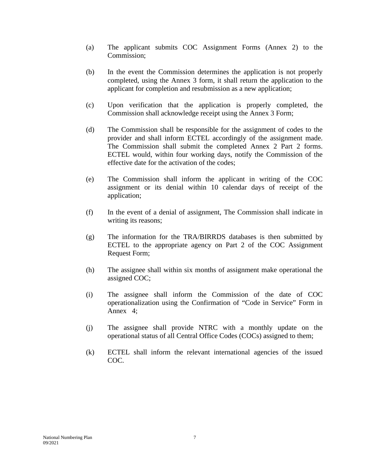- (a) The applicant submits COC Assignment Forms (Annex 2) to the Commission;
- (b) In the event the Commission determines the application is not properly completed, using the Annex 3 form, it shall return the application to the applicant for completion and resubmission as a new application;
- (c) Upon verification that the application is properly completed, the Commission shall acknowledge receipt using the Annex 3 Form;
- (d) The Commission shall be responsible for the assignment of codes to the provider and shall inform ECTEL accordingly of the assignment made. The Commission shall submit the completed Annex 2 Part 2 forms. ECTEL would, within four working days, notify the Commission of the effective date for the activation of the codes;
- (e) The Commission shall inform the applicant in writing of the COC assignment or its denial within 10 calendar days of receipt of the application;
- (f) In the event of a denial of assignment, The Commission shall indicate in writing its reasons;
- (g) The information for the TRA/BIRRDS databases is then submitted by ECTEL to the appropriate agency on Part 2 of the COC Assignment Request Form;
- (h) The assignee shall within six months of assignment make operational the assigned COC;
- (i) The assignee shall inform the Commission of the date of COC operationalization using the Confirmation of "Code in Service" Form in Annex 4;
- (j) The assignee shall provide NTRC with a monthly update on the operational status of all Central Office Codes (COCs) assigned to them;
- (k) ECTEL shall inform the relevant international agencies of the issued COC.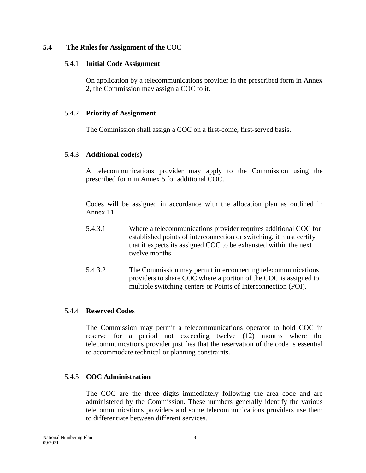#### **5.4 The Rules for Assignment of the** COC

#### 5.4.1 **Initial Code Assignment**

On application by a telecommunications provider in the prescribed form in Annex 2, the Commission may assign a COC to it.

#### 5.4.2 **Priority of Assignment**

The Commission shall assign a COC on a first-come, first-served basis.

#### 5.4.3 **Additional code(s)**

A telecommunications provider may apply to the Commission using the prescribed form in Annex 5 for additional COC.

Codes will be assigned in accordance with the allocation plan as outlined in Annex 11:

- 5.4.3.1 Where a telecommunications provider requires additional COC for established points of interconnection or switching, it must certify that it expects its assigned COC to be exhausted within the next twelve months.
- 5.4.3.2 The Commission may permit interconnecting telecommunications providers to share COC where a portion of the COC is assigned to multiple switching centers or Points of Interconnection (POI).

#### 5.4.4 **Reserved Codes**

The Commission may permit a telecommunications operator to hold COC in reserve for a period not exceeding twelve (12) months where the telecommunications provider justifies that the reservation of the code is essential to accommodate technical or planning constraints.

#### 5.4.5 **COC Administration**

The COC are the three digits immediately following the area code and are administered by the Commission. These numbers generally identify the various telecommunications providers and some telecommunications providers use them to differentiate between different services.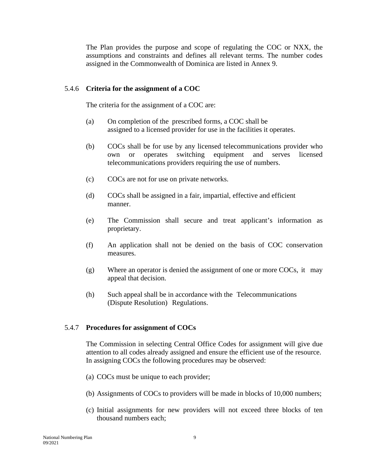The Plan provides the purpose and scope of regulating the COC or NXX, the assumptions and constraints and defines all relevant terms. The number codes assigned in the Commonwealth of Dominica are listed in Annex 9.

#### 5.4.6 **Criteria for the assignment of a COC**

The criteria for the assignment of a COC are:

- (a) On completion of the prescribed forms, a COC shall be assigned to a licensed provider for use in the facilities it operates.
- (b) COCs shall be for use by any licensed telecommunications provider who own or operates switching equipment and serves licensed telecommunications providers requiring the use of numbers.
- (c) COCs are not for use on private networks.
- (d) COCs shall be assigned in a fair, impartial, effective and efficient manner.
- (e) The Commission shall secure and treat applicant's information as proprietary.
- (f) An application shall not be denied on the basis of COC conservation measures.
- (g) Where an operator is denied the assignment of one or more COCs, it may appeal that decision.
- (h) Such appeal shall be in accordance with the Telecommunications (Dispute Resolution) Regulations.

#### 5.4.7 **Procedures for assignment of COCs**

The Commission in selecting Central Office Codes for assignment will give due attention to all codes already assigned and ensure the efficient use of the resource. In assigning COCs the following procedures may be observed:

- (a) COCs must be unique to each provider;
- (b) Assignments of COCs to providers will be made in blocks of 10,000 numbers;
- (c) Initial assignments for new providers will not exceed three blocks of ten thousand numbers each;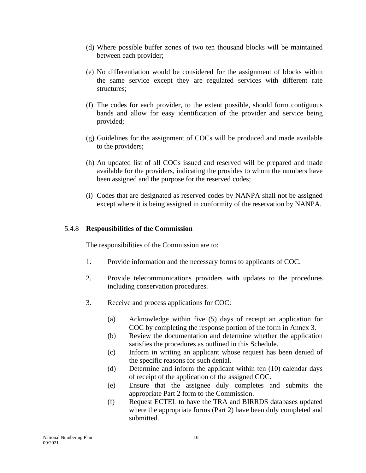- (d) Where possible buffer zones of two ten thousand blocks will be maintained between each provider;
- (e) No differentiation would be considered for the assignment of blocks within the same service except they are regulated services with different rate structures;
- (f) The codes for each provider, to the extent possible, should form contiguous bands and allow for easy identification of the provider and service being provided;
- (g) Guidelines for the assignment of COCs will be produced and made available to the providers;
- (h) An updated list of all COCs issued and reserved will be prepared and made available for the providers, indicating the provides to whom the numbers have been assigned and the purpose for the reserved codes;
- (i) Codes that are designated as reserved codes by NANPA shall not be assigned except where it is being assigned in conformity of the reservation by NANPA.

#### 5.4.8 **Responsibilities of the Commission**

The responsibilities of the Commission are to:

- 1. Provide information and the necessary forms to applicants of COC.
- 2. Provide telecommunications providers with updates to the procedures including conservation procedures.
- 3. Receive and process applications for COC:
	- (a) Acknowledge within five (5) days of receipt an application for COC by completing the response portion of the form in Annex 3.
	- (b) Review the documentation and determine whether the application satisfies the procedures as outlined in this Schedule.
	- (c) Inform in writing an applicant whose request has been denied of the specific reasons for such denial.
	- (d) Determine and inform the applicant within ten (10) calendar days of receipt of the application of the assigned COC.
	- (e) Ensure that the assignee duly completes and submits the appropriate Part 2 form to the Commission.
	- (f) Request ECTEL to have the TRA and BIRRDS databases updated where the appropriate forms (Part 2) have been duly completed and submitted.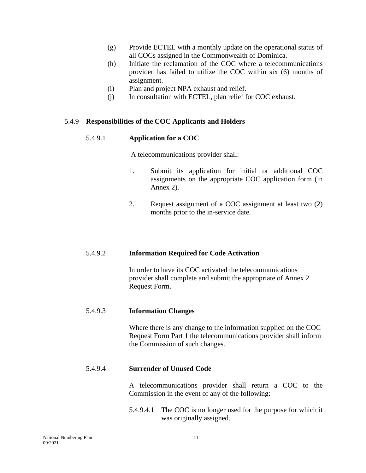- (g) Provide ECTEL with a monthly update on the operational status of all COCs assigned in the Commonwealth of Dominica.
- (h) Initiate the reclamation of the COC where a telecommunications provider has failed to utilize the COC within six (6) months of assignment.
- (i) Plan and project NPA exhaust and relief.
- (j) In consultation with ECTEL, plan relief for COC exhaust.

#### 5.4.9 **Responsibilities of the COC Applicants and Holders**

#### 5.4.9.1 **Application for a COC**

A telecommunications provider shall:

- 1. Submit its application for initial or additional COC assignments on the appropriate COC application form (in Annex 2).
- 2. Request assignment of a COC assignment at least two (2) months prior to the in-service date.

#### 5.4.9.2 **Information Required for Code Activation**

In order to have its COC activated the telecommunications provider shall complete and submit the appropriate of Annex 2 Request Form.

#### 5.4.9.3 **Information Changes**

Where there is any change to the information supplied on the COC Request Form Part 1 the telecommunications provider shall inform the Commission of such changes.

#### 5.4.9.4 **Surrender of Unused Code**

A telecommunications provider shall return a COC to the Commission in the event of any of the following:

5.4.9.4.1 The COC is no longer used for the purpose for which it was originally assigned.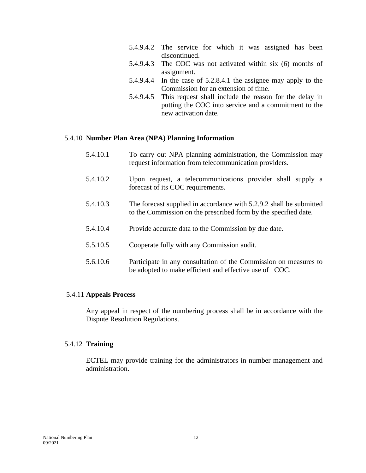- 5.4.9.4.2 The service for which it was assigned has been discontinued.
- 5.4.9.4.3 The COC was not activated within six (6) months of assignment.
- 5.4.9.4.4 In the case of 5.2.8.4.1 the assignee may apply to the Commission for an extension of time.
- 5.4.9.4.5 This request shall include the reason for the delay in putting the COC into service and a commitment to the new activation date.

#### 5.4.10 **Number Plan Area (NPA) Planning Information**

- 5.4.10.1 To carry out NPA planning administration, the Commission may request information from telecommunication providers.
- 5.4.10.2 Upon request, a telecommunications provider shall supply a forecast of its COC requirements.
- 5.4.10.3 The forecast supplied in accordance with 5.2.9.2 shall be submitted to the Commission on the prescribed form by the specified date.
- 5.4.10.4 Provide accurate data to the Commission by due date.
- 5.5.10.5 Cooperate fully with any Commission audit.
- 5.6.10.6 Participate in any consultation of the Commission on measures to be adopted to make efficient and effective use of COC.

#### 5.4.11 **Appeals Process**

Any appeal in respect of the numbering process shall be in accordance with the Dispute Resolution Regulations.

#### 5.4.12 **Training**

ECTEL may provide training for the administrators in number management and administration.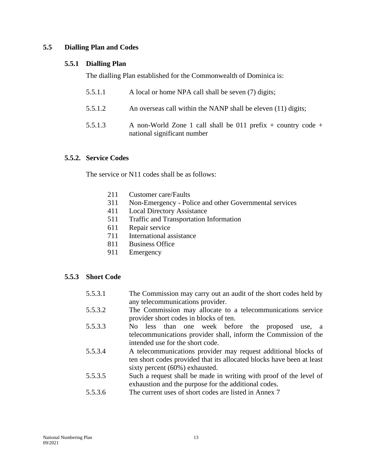#### **5.5 Dialling Plan and Codes**

#### **5.5.1 Dialling Plan**

The dialling Plan established for the Commonwealth of Dominica is:

- 5.5.1.1 A local or home NPA call shall be seven (7) digits;
- 5.5.1.2 An overseas call within the NANP shall be eleven (11) digits;
- 5.5.1.3 A non-World Zone 1 call shall be 011 prefix + country code + national significant number

#### **5.5.2. Service Codes**

The service or N11 codes shall be as follows:

- 211 Customer care/Faults
- 311 Non-Emergency Police and other Governmental services
- 411 Local Directory Assistance
- 511 Traffic and Transportation Information
- 611 Repair service
- 711 International assistance
- 811 Business Office
- 911 Emergency

#### **5.5.3 Short Code**

- 5.5.3.1 The Commission may carry out an audit of the short codes held by any telecommunications provider.
- 5.5.3.2 The Commission may allocate to a telecommunications service provider short codes in blocks of ten.
- 5.5.3.3 No less than one week before the proposed use, a telecommunications provider shall, inform the Commission of the intended use for the short code.
- 5.5.3.4 A telecommunications provider may request additional blocks of ten short codes provided that its allocated blocks have been at least sixty percent (60%) exhausted.
- 5.5.3.5 Such a request shall be made in writing with proof of the level of exhaustion and the purpose for the additional codes.
- 5.5.3.6 The current uses of short codes are listed in Annex 7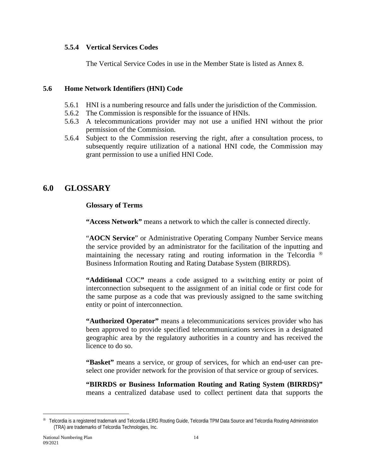#### **5.5.4 Vertical Services Codes**

The Vertical Service Codes in use in the Member State is listed as Annex 8.

#### **5.6 Home Network Identifiers (HNI) Code**

- 5.6.1 HNI is a numbering resource and falls under the jurisdiction of the Commission.
- 5.6.2 The Commission is responsible for the issuance of HNIs.
- 5.6.3 A telecommunications provider may not use a unified HNI without the prior permission of the Commission.
- 5.6.4 Subject to the Commission reserving the right, after a consultation process, to subsequently require utilization of a national HNI code, the Commission may grant permission to use a unified HNI Code.

## **6.0 GLOSSARY**

#### **Glossary of Terms**

**"Access Network"** means a network to which the caller is connected directly.

"**AOCN Service**" or Administrative Operating Company Number Service means the service provided by an administrator for the facilitation of the inputting and maintaining the necessary rating and routing information in the Telcordia  $\mathbb{R}$ Business Information Routing and Rating Database System (BIRRDS).

**"Additional** COC**"** means a code assigned to a switching entity or point of interconnection subsequent to the assignment of an initial code or first code for the same purpose as a code that was previously assigned to the same switching entity or point of interconnection.

**"Authorized Operator"** means a telecommunications services provider who has been approved to provide specified telecommunications services in a designated geographic area by the regulatory authorities in a country and has received the licence to do so.

**"Basket"** means a service, or group of services, for which an end-user can preselect one provider network for the provision of that service or group of services.

**"BIRRDS or Business Information Routing and Rating System (BIRRDS)"** means a centralized database used to collect pertinent data that supports the

<span id="page-14-0"></span>Telcordia is a registered trademark and Telcordia LERG Routing Guide, Telcordia TPM Data Source and Telcordia Routing Administration (TRA) are trademarks of Telcordia Technologies, Inc.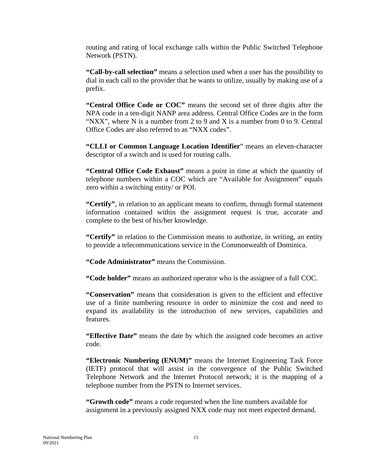routing and rating of local exchange calls within the Public Switched Telephone Network (PSTN).

**"Call***-***by***-***call selection"** means a selection used when a user has the possibility to dial in each call to the provider that he wants to utilize, usually by making use of a prefix.

**"Central Office Code or COC"** means the second set of three digits after the NPA code in a ten-digit NANP area address. Central Office Codes are in the form "NXX", where N is a number from 2 to 9 and X is a number from 0 to 9. Central Office Codes are also referred to as "NXX codes".

**"CLLI or Common Language Location Identifier**" means an eleven-character descriptor of a switch and is used for routing calls.

**"Central Office Code Exhaust"** means a point in time at which the quantity of telephone numbers within a COC which are "Available for Assignment" equals zero within a switching entity/ or POI.

**"Certify"**, in relation to an applicant means to confirm, through formal statement information contained within the assignment request is true, accurate and complete to the best of his/her knowledge.

**"Certify"** in relation to the Commission means to authorize, in writing, an entity to provide a telecommunications service in the Commonwealth of Dominica.

**"Code Administrator"** means the Commission.

**"Code holder"** means an authorized operator who is the assignee of a full COC.

**"Conservation"** means that consideration is given to the efficient and effective use of a finite numbering resource in order to minimize the cost and need to expand its availability in the introduction of new services, capabilities and features.

**"Effective Date"** means the date by which the assigned code becomes an active code.

**"Electronic Numbering (ENUM)"** means the Internet Engineering Task Force (IETF) protocol that will assist in the convergence of the Public Switched Telephone Network and the Internet Protocol network; it is the mapping of a telephone number from the PSTN to Internet services.

**"Growth code"** means a code requested when the line numbers available for assignment in a previously assigned NXX code may not meet expected demand.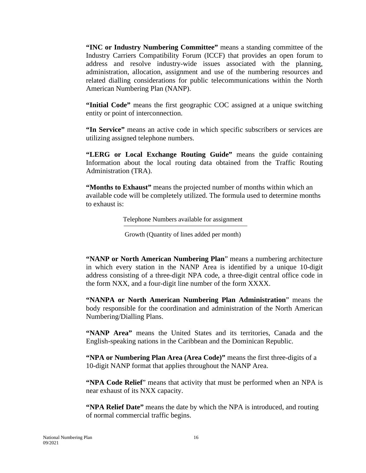**"INC or Industry Numbering Committee"** means a standing committee of the Industry Carriers Compatibility Forum (ICCF) that provides an open forum to address and resolve industry-wide issues associated with the planning, administration, allocation, assignment and use of the numbering resources and related dialling considerations for public telecommunications within the North American Numbering Plan (NANP).

**"Initial Code"** means the first geographic COC assigned at a unique switching entity or point of interconnection.

**"In Service"** means an active code in which specific subscribers or services are utilizing assigned telephone numbers.

**"LERG or Local Exchange Routing Guide"** means the guide containing Information about the local routing data obtained from the Traffic Routing Administration (TRA).

**"Months to Exhaust"** means the projected number of months within which an available code will be completely utilized. The formula used to determine months to exhaust is:

Telephone Numbers available for assignment

Growth (Quantity of lines added per month)

**"NANP or North American Numbering Plan**" means a numbering architecture in which every station in the NANP Area is identified by a unique 10-digit address consisting of a three-digit NPA code, a three-digit central office code in the form NXX, and a four-digit line number of the form XXXX.

**"NANPA or North American Numbering Plan Administration**" means the body responsible for the coordination and administration of the North American Numbering/Dialling Plans.

**"NANP Area"** means the United States and its territories, Canada and the English-speaking nations in the Caribbean and the Dominican Republic.

**"NPA or Numbering Plan Area (Area Code)"** means the first three-digits of a 10-digit NANP format that applies throughout the NANP Area.

**"NPA Code Relief**" means that activity that must be performed when an NPA is near exhaust of its NXX capacity.

**"NPA Relief Date"** means the date by which the NPA is introduced, and routing of normal commercial traffic begins.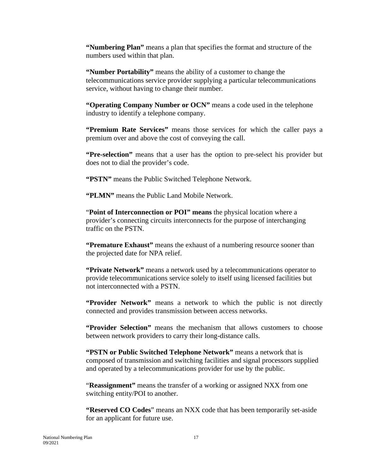**"Numbering Plan"** means a plan that specifies the format and structure of the numbers used within that plan.

**"Number Portability"** means the ability of a customer to change the telecommunications service provider supplying a particular telecommunications service, without having to change their number.

**"Operating Company Number or OCN"** means a code used in the telephone industry to identify a telephone company.

**"Premium Rate Services"** means those services for which the caller pays a premium over and above the cost of conveying the call.

**"Pre-selection"** means that a user has the option to pre-select his provider but does not to dial the provider's code.

**"PSTN"** means the Public Switched Telephone Network.

**"PLMN"** means the Public Land Mobile Network.

"**Point of Interconnection or POI" means** the physical location where a provider's connecting circuits interconnects for the purpose of interchanging traffic on the PSTN.

**"Premature Exhaust"** means the exhaust of a numbering resource sooner than the projected date for NPA relief.

**"Private Network"** means a network used by a telecommunications operator to provide telecommunications service solely to itself using licensed facilities but not interconnected with a PSTN.

**"Provider Network"** means a network to which the public is not directly connected and provides transmission between access networks.

**"Provider Selection"** means the mechanism that allows customers to choose between network providers to carry their long-distance calls.

**"PSTN or Public Switched Telephone Network"** means a network that is composed of transmission and switching facilities and signal processors supplied and operated by a telecommunications provider for use by the public.

"**Reassignment"** means the transfer of a working or assigned NXX from one switching entity/POI to another.

**"Reserved CO Codes**" means an NXX code that has been temporarily set-aside for an applicant for future use.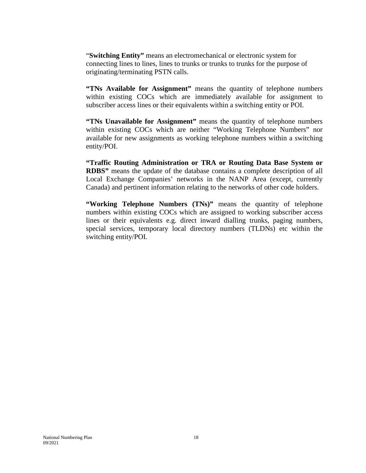"**Switching Entity"** means an electromechanical or electronic system for connecting lines to lines, lines to trunks or trunks to trunks for the purpose of originating/terminating PSTN calls.

**"TNs Available for Assignment"** means the quantity of telephone numbers within existing COCs which are immediately available for assignment to subscriber access lines or their equivalents within a switching entity or POI.

**"TNs Unavailable for Assignment"** means the quantity of telephone numbers within existing COCs which are neither "Working Telephone Numbers" nor available for new assignments as working telephone numbers within a switching entity/POI.

**"Traffic Routing Administration or TRA or Routing Data Base System or RDBS"** means the update of the database contains a complete description of all Local Exchange Companies' networks in the NANP Area (except, currently Canada) and pertinent information relating to the networks of other code holders.

**"Working Telephone Numbers (TNs)"** means the quantity of telephone numbers within existing COCs which are assigned to working subscriber access lines or their equivalents e.g. direct inward dialling trunks, paging numbers, special services, temporary local directory numbers (TLDNs) etc within the switching entity/POI.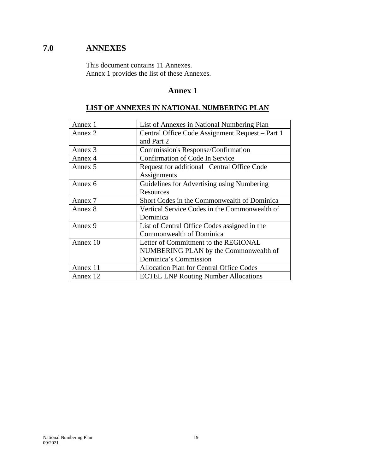## **7.0 ANNEXES**

This document contains 11 Annexes. Annex 1 provides the list of these Annexes.

#### **Annex 1**

#### **LIST OF ANNEXES IN NATIONAL NUMBERING PLAN**

| Annex 1  | List of Annexes in National Numbering Plan      |  |
|----------|-------------------------------------------------|--|
| Annex 2  | Central Office Code Assignment Request – Part 1 |  |
|          | and Part 2                                      |  |
| Annex 3  | <b>Commission's Response/Confirmation</b>       |  |
| Annex 4  | Confirmation of Code In Service                 |  |
| Annex 5  | Request for additional Central Office Code      |  |
|          | Assignments                                     |  |
| Annex 6  | Guidelines for Advertising using Numbering      |  |
|          | Resources                                       |  |
| Annex 7  | Short Codes in the Commonwealth of Dominica     |  |
| Annex 8  | Vertical Service Codes in the Commonwealth of   |  |
|          | Dominica                                        |  |
| Annex 9  | List of Central Office Codes assigned in the    |  |
|          | Commonwealth of Dominica                        |  |
| Annex 10 | Letter of Commitment to the REGIONAL            |  |
|          | NUMBERING PLAN by the Commonwealth of           |  |
|          | Dominica's Commission                           |  |
| Annex 11 | <b>Allocation Plan for Central Office Codes</b> |  |
| Annex 12 | <b>ECTEL LNP Routing Number Allocations</b>     |  |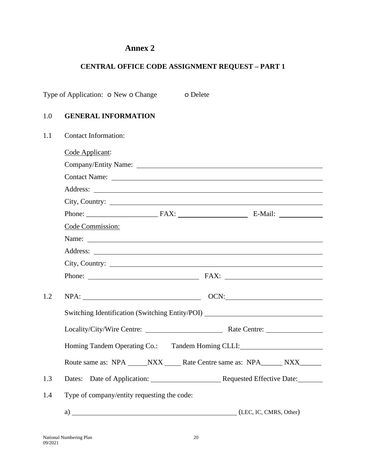#### **CENTRAL OFFICE CODE ASSIGNMENT REQUEST – PART 1**

Type of Application: o New o Change o Delete

#### 1.0 **GENERAL INFORMATION**

| 1.1 | <b>Contact Information:</b>                                                      |
|-----|----------------------------------------------------------------------------------|
|     | Code Applicant:                                                                  |
|     | Company/Entity Name:                                                             |
|     |                                                                                  |
|     |                                                                                  |
|     |                                                                                  |
|     |                                                                                  |
|     | Code Commission:                                                                 |
|     | Name: Name:                                                                      |
|     |                                                                                  |
|     |                                                                                  |
|     | Phone: FAX: FAX:                                                                 |
| 1.2 |                                                                                  |
|     | Switching Identification (Switching Entity/POI) ________________________________ |
|     |                                                                                  |
|     | Homing Tandem Operating Co.: Tandem Homing CLLI: Canadian Music Press, 2014      |
|     | Route same as: NPA _____ NXX ______ Rate Centre same as: NPA _______ NXX _______ |
| 1.3 |                                                                                  |
| 1.4 | Type of company/entity requesting the code:                                      |
|     | a) (LEC, IC, CMRS, Other)                                                        |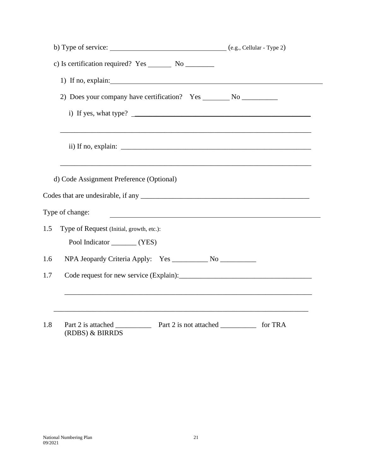|     | 1) If no, explain: $\frac{1}{2}$ explain:                                                                                               |  |
|-----|-----------------------------------------------------------------------------------------------------------------------------------------|--|
|     |                                                                                                                                         |  |
|     | i) If yes, what type?                                                                                                                   |  |
|     |                                                                                                                                         |  |
|     | d) Code Assignment Preference (Optional)                                                                                                |  |
|     | Type of change:<br><u> 1980 - Johann Stein, marwolaethau a bhann an t-Amhain an t-Amhain an t-Amhain an t-Amhain an t-Amhain an t-A</u> |  |
| 1.5 | Type of Request (Initial, growth, etc.):<br>Pool Indicator ________ (YES)                                                               |  |
| 1.6 |                                                                                                                                         |  |
| 1.7 |                                                                                                                                         |  |
|     |                                                                                                                                         |  |
| 1.8 | (RDBS) & BIRRDS                                                                                                                         |  |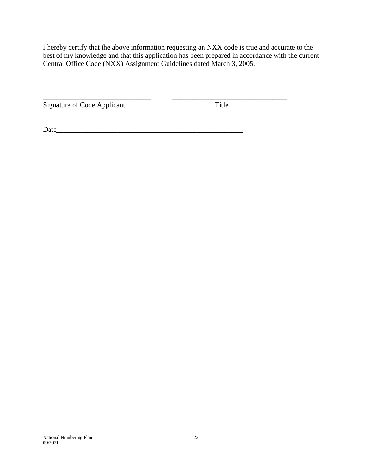I hereby certify that the above information requesting an NXX code is true and accurate to the best of my knowledge and that this application has been prepared in accordance with the current Central Office Code (NXX) Assignment Guidelines dated March 3, 2005.

\_\_\_\_\_\_\_\_\_\_\_\_\_\_\_\_\_\_\_\_\_\_\_\_\_\_\_\_\_\_ \_\_\_\_\_\_\_\_\_\_\_\_\_\_\_\_\_\_\_\_\_\_\_\_\_\_\_\_\_\_\_\_

Signature of Code Applicant Title

Date**\_\_\_\_\_\_\_\_\_\_\_\_\_\_\_\_\_\_\_\_\_\_\_\_\_\_\_\_\_\_\_\_\_\_\_\_\_\_\_\_\_\_\_\_\_\_\_\_\_\_\_\_**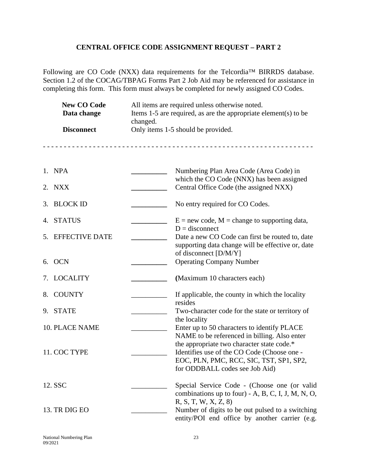#### **CENTRAL OFFICE CODE ASSIGNMENT REQUEST – PART 2**

Following are CO Code (NXX) data requirements for the Telcordia™ BIRRDS database. Section 1.2 of the COCAG/TBPAG Forms Part 2 Job Aid may be referenced for assistance in completing this form. This form must always be completed for newly assigned CO Codes.

| <b>New CO Code</b><br>Data change<br><b>Disconnect</b> | All items are required unless otherwise noted.<br>Items $1-5$ are required, as are the appropriate element(s) to be<br>changed.<br>Only items 1-5 should be provided. |                                                                                                                                                                        |
|--------------------------------------------------------|-----------------------------------------------------------------------------------------------------------------------------------------------------------------------|------------------------------------------------------------------------------------------------------------------------------------------------------------------------|
|                                                        |                                                                                                                                                                       |                                                                                                                                                                        |
| 1. NPA                                                 |                                                                                                                                                                       | Numbering Plan Area Code (Area Code) in<br>which the CO Code (NNX) has been assigned                                                                                   |
| 2.<br>NXX                                              |                                                                                                                                                                       | Central Office Code (the assigned NXX)                                                                                                                                 |
| 3.<br><b>BLOCK ID</b>                                  |                                                                                                                                                                       | No entry required for CO Codes.                                                                                                                                        |
| 4. STATUS                                              |                                                                                                                                                                       | $E = new code, M = change to supporting data,$<br>$D =$ disconnect                                                                                                     |
| 5.<br><b>EFFECTIVE DATE</b>                            |                                                                                                                                                                       | Date a new CO Code can first be routed to, date<br>supporting data change will be effective or, date                                                                   |
| 6. OCN                                                 |                                                                                                                                                                       | of disconnect [D/M/Y]<br><b>Operating Company Number</b>                                                                                                               |
| 7. LOCALITY                                            |                                                                                                                                                                       | (Maximum 10 characters each)                                                                                                                                           |
| <b>COUNTY</b><br>8.                                    |                                                                                                                                                                       | If applicable, the county in which the locality<br>resides                                                                                                             |
| 9. STATE                                               |                                                                                                                                                                       | Two-character code for the state or territory of<br>the locality                                                                                                       |
| <b>10. PLACE NAME</b>                                  |                                                                                                                                                                       | Enter up to 50 characters to identify PLACE<br>NAME to be referenced in billing. Also enter                                                                            |
| 11. COC TYPE                                           |                                                                                                                                                                       | the appropriate two character state code.*<br>Identifies use of the CO Code (Choose one -<br>EOC, PLN, PMC, RCC, SIC, TST, SP1, SP2,<br>for ODDBALL codes see Job Aid) |
| 12. SSC                                                |                                                                                                                                                                       | Special Service Code - (Choose one (or valid<br>combinations up to four) - A, B, C, I, J, M, N, O,                                                                     |
| 13. TR DIG EO                                          |                                                                                                                                                                       | R, S, T, W, X, Z, 8<br>Number of digits to be out pulsed to a switching<br>entity/POI end office by another carrier (e.g.                                              |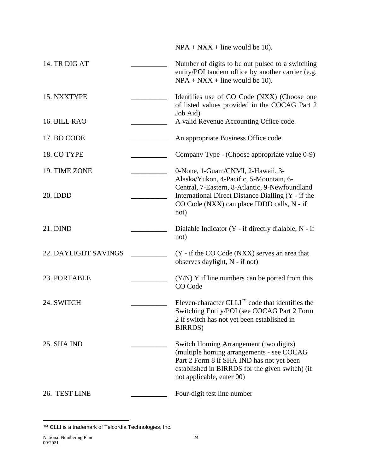$NPA + NXX + line$  would be 10).

| 14. TR DIG AT        | Number of digits to be out pulsed to a switching<br>entity/POI tandem office by another carrier (e.g.<br>$NPA + NXX + line$ would be 10).                                                                        |
|----------------------|------------------------------------------------------------------------------------------------------------------------------------------------------------------------------------------------------------------|
| 15. NXXTYPE          | Identifies use of CO Code (NXX) (Choose one<br>of listed values provided in the COCAG Part 2                                                                                                                     |
| 16. BILL RAO         | Job Aid)<br>A valid Revenue Accounting Office code.                                                                                                                                                              |
| 17. BO CODE          | An appropriate Business Office code.                                                                                                                                                                             |
| 18. CO TYPE          | Company Type - (Choose appropriate value 0-9)                                                                                                                                                                    |
| 19. TIME ZONE        | 0-None, 1-Guam/CNMI, 2-Hawaii, 3-                                                                                                                                                                                |
| 20. IDDD             | Alaska/Yukon, 4-Pacific, 5-Mountain, 6-<br>Central, 7-Eastern, 8-Atlantic, 9-Newfoundland<br>International Direct Distance Dialling (Y - if the<br>CO Code (NXX) can place IDDD calls, N - if<br>not)            |
| 21. DIND             | Dialable Indicator (Y - if directly dialable, N - if<br>not)                                                                                                                                                     |
| 22. DAYLIGHT SAVINGS | (Y - if the CO Code (NXX) serves an area that<br>observes daylight, N - if not)                                                                                                                                  |
| 23. PORTABLE         | $(Y/N)$ Y if line numbers can be ported from this<br>CO Code                                                                                                                                                     |
| 24. SWITCH           | Eleven-character $CLLI^{\mathbb{M}}$ code that identifies the<br>Switching Entity/POI (see COCAG Part 2 Form<br>2 if switch has not yet been established in<br><b>BIRRDS</b> )                                   |
| 25. SHA IND          | Switch Homing Arrangement (two digits)<br>(multiple homing arrangements - see COCAG<br>Part 2 Form 8 if SHA IND has not yet been<br>established in BIRRDS for the given switch) (if<br>not applicable, enter 00) |
| 26. TEST LINE        | Four-digit test line number                                                                                                                                                                                      |

<span id="page-24-0"></span><sup>™</sup> CLLI is a trademark of Telcordia Technologies, Inc.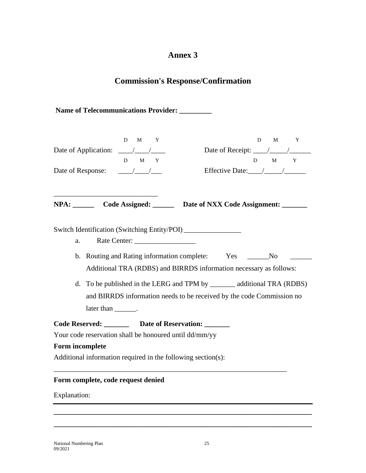## **Commission's Response/Confirmation**

**Name of Telecommunications Provider: \_\_\_\_\_\_\_\_\_**

|                                                                                                                                                                                                                                                                                                                                                                                                                    | D<br>M<br>$\mathbf{Y}$<br>Date of Application: $\frac{\sqrt{1-\lambda}}{\lambda}$<br>D M Y<br>Date of Response: $\frac{\sqrt{1-\frac{1}{2}}}{\sqrt{1-\frac{1}{2}}}$ | D<br>M<br>$\mathbf{Y}$<br>D M Y<br>Effective Date: / / / |  |  |
|--------------------------------------------------------------------------------------------------------------------------------------------------------------------------------------------------------------------------------------------------------------------------------------------------------------------------------------------------------------------------------------------------------------------|---------------------------------------------------------------------------------------------------------------------------------------------------------------------|----------------------------------------------------------|--|--|
|                                                                                                                                                                                                                                                                                                                                                                                                                    |                                                                                                                                                                     | NPA: Code Assigned: Date of NXX Code Assignment: _____   |  |  |
| Switch Identification (Switching Entity/POI) ___________________________________<br>Rate Center: ____________________<br>a.<br>b. Routing and Rating information complete: Yes ______No<br>Additional TRA (RDBS) and BIRRDS information necessary as follows:<br>d. To be published in the LERG and TPM by ________ additional TRA (RDBS)<br>and BIRRDS information needs to be received by the code Commission no |                                                                                                                                                                     |                                                          |  |  |
|                                                                                                                                                                                                                                                                                                                                                                                                                    | later than ________.                                                                                                                                                |                                                          |  |  |
|                                                                                                                                                                                                                                                                                                                                                                                                                    | Code Reserved: Date of Reservation:                                                                                                                                 |                                                          |  |  |
|                                                                                                                                                                                                                                                                                                                                                                                                                    | Your code reservation shall be honoured until dd/mm/yy                                                                                                              |                                                          |  |  |
|                                                                                                                                                                                                                                                                                                                                                                                                                    | Form incomplete<br>Additional information required in the following section(s):                                                                                     |                                                          |  |  |
|                                                                                                                                                                                                                                                                                                                                                                                                                    | Form complete, code request denied                                                                                                                                  |                                                          |  |  |
| Explanation:                                                                                                                                                                                                                                                                                                                                                                                                       |                                                                                                                                                                     |                                                          |  |  |
|                                                                                                                                                                                                                                                                                                                                                                                                                    |                                                                                                                                                                     |                                                          |  |  |

**\_\_\_\_\_\_\_\_\_\_\_\_\_\_\_\_\_\_\_\_\_\_\_\_\_\_\_\_\_\_\_\_\_\_\_\_\_\_\_\_\_\_\_\_\_\_\_\_\_\_\_\_\_\_\_\_\_\_\_\_\_\_\_\_\_\_\_\_\_\_\_\_**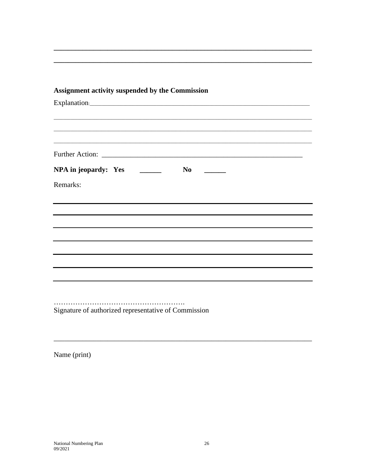## Assignment activity suspended by the Commission

Further Action: Lawrence and the state of the state of the state of the state of the state of the state of the state of the state of the state of the state of the state of the state of the state of the state of the state o Remarks:

Signature of authorized representative of Commission

Name (print)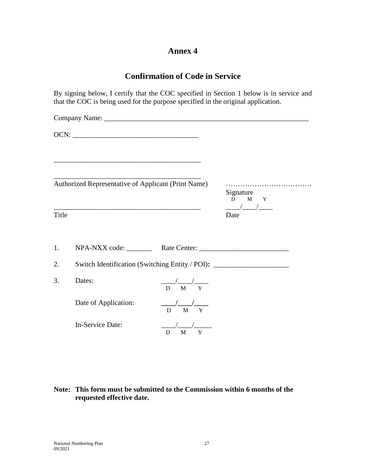## **Confirmation of Code in Service**

By signing below, I certify that the COC specified in Section 1 below is in service and that the COC is being used for the purpose specified in the original application.

|       | <u> 1989 - Johann Stein, mars an deus Amerikaansk kommunister (* 1958)</u><br>Authorized Representative of Applicant (Print Name) |                                           | Signature<br>M Y<br>$D \Box$                                                                                                                                                                                                                                                                                                                                                                                                            |
|-------|-----------------------------------------------------------------------------------------------------------------------------------|-------------------------------------------|-----------------------------------------------------------------------------------------------------------------------------------------------------------------------------------------------------------------------------------------------------------------------------------------------------------------------------------------------------------------------------------------------------------------------------------------|
| Title |                                                                                                                                   |                                           | $\frac{1}{\sqrt{1-\frac{1}{2}}}\frac{1}{\sqrt{1-\frac{1}{2}}}\frac{1}{\sqrt{1-\frac{1}{2}}}\frac{1}{\sqrt{1-\frac{1}{2}}}\frac{1}{\sqrt{1-\frac{1}{2}}}\frac{1}{\sqrt{1-\frac{1}{2}}}\frac{1}{\sqrt{1-\frac{1}{2}}}\frac{1}{\sqrt{1-\frac{1}{2}}}\frac{1}{\sqrt{1-\frac{1}{2}}}\frac{1}{\sqrt{1-\frac{1}{2}}}\frac{1}{\sqrt{1-\frac{1}{2}}}\frac{1}{\sqrt{1-\frac{1}{2}}}\frac{1}{\sqrt{1-\frac{1}{2}}}\frac{1}{\sqrt{1-\frac{$<br>Date |
| 1.    |                                                                                                                                   |                                           |                                                                                                                                                                                                                                                                                                                                                                                                                                         |
| 2.    | Switch Identification (Switching Entity / POI): ________________________________                                                  |                                           |                                                                                                                                                                                                                                                                                                                                                                                                                                         |
| 3.    | Dates:                                                                                                                            | $\frac{1}{D}$ $\frac{1}{M}$ $\frac{1}{Y}$ |                                                                                                                                                                                                                                                                                                                                                                                                                                         |
|       | Date of Application:                                                                                                              | $\frac{1}{D}$ $\frac{1}{M}$ $\frac{1}{Y}$ |                                                                                                                                                                                                                                                                                                                                                                                                                                         |
|       | In-Service Date:                                                                                                                  | M<br>Y<br>D                               |                                                                                                                                                                                                                                                                                                                                                                                                                                         |

#### **Note: This form must be submitted to the Commission within 6 months of the requested effective date.**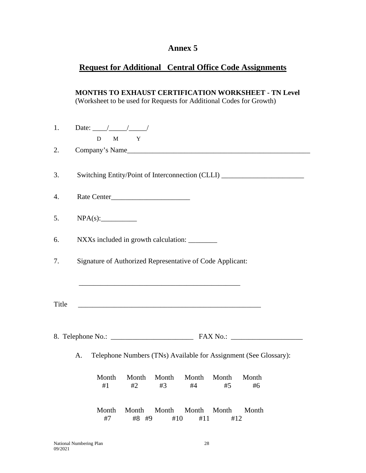## **Request for Additional Central Office Code Assignments**

**MONTHS TO EXHAUST CERTIFICATION WORKSHEET - TN Level** (Worksheet to be used for Requests for Additional Codes for Growth)

| 1.    | Date: $\frac{\ }{\ }$<br>D M Y                                                         |  |  |
|-------|----------------------------------------------------------------------------------------|--|--|
| 2.    | Company's Name                                                                         |  |  |
| 3.    | Switching Entity/Point of Interconnection (CLLI) _______________________________       |  |  |
| 4.    |                                                                                        |  |  |
| 5.    |                                                                                        |  |  |
| 6.    | NXXs included in growth calculation: _______                                           |  |  |
| 7.    | Signature of Authorized Representative of Code Applicant:                              |  |  |
|       |                                                                                        |  |  |
| Title |                                                                                        |  |  |
|       |                                                                                        |  |  |
|       | Telephone Numbers (TNs) Available for Assignment (See Glossary):<br>A.                 |  |  |
|       | Month<br>Month<br>Month<br>Month<br>Month<br>Month<br>#1<br>#2<br>#3<br>#4<br>#5<br>#6 |  |  |
|       | Month<br>Month<br>Month<br>Month<br>Month<br>Month<br>#7<br>#8 #9<br>#10<br>#11<br>#12 |  |  |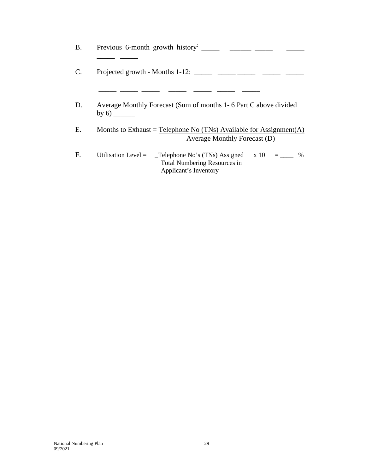| <b>B.</b> | Previous 6-month growth history                                                                                                              |
|-----------|----------------------------------------------------------------------------------------------------------------------------------------------|
|           | Projected growth - Months 1-12: $\frac{1}{2}$                                                                                                |
| D.        | Average Monthly Forecast (Sum of months 1-6 Part C above divided<br>by $6)$                                                                  |
| Е.        | Months to Exhaust = Telephone No (TNs) Available for Assignment(A)<br>Average Monthly Forecast (D)                                           |
| F.        | Utilisation Level $=$<br>$\angle$ Telephone No's (TNs) Assigned x 10<br>$\%$<br><b>Total Numbering Resources in</b><br>Applicant's Inventory |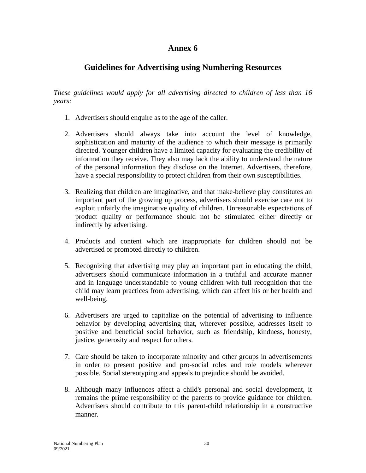## **Guidelines for Advertising using Numbering Resources**

*These guidelines would apply for all advertising directed to children of less than 16 years:* 

- 1. Advertisers should enquire as to the age of the caller.
- 2. Advertisers should always take into account the level of knowledge, sophistication and maturity of the audience to which their message is primarily directed. Younger children have a limited capacity for evaluating the credibility of information they receive. They also may lack the ability to understand the nature of the personal information they disclose on the Internet. Advertisers, therefore, have a special responsibility to protect children from their own susceptibilities.
- 3. Realizing that children are imaginative, and that make-believe play constitutes an important part of the growing up process, advertisers should exercise care not to exploit unfairly the imaginative quality of children. Unreasonable expectations of product quality or performance should not be stimulated either directly or indirectly by advertising.
- 4. Products and content which are inappropriate for children should not be advertised or promoted directly to children.
- 5. Recognizing that advertising may play an important part in educating the child, advertisers should communicate information in a truthful and accurate manner and in language understandable to young children with full recognition that the child may learn practices from advertising, which can affect his or her health and well-being.
- 6. Advertisers are urged to capitalize on the potential of advertising to influence behavior by developing advertising that, wherever possible, addresses itself to positive and beneficial social behavior, such as friendship, kindness, honesty, justice, generosity and respect for others.
- 7. Care should be taken to incorporate minority and other groups in advertisements in order to present positive and pro-social roles and role models wherever possible. Social stereotyping and appeals to prejudice should be avoided.
- 8. Although many influences affect a child's personal and social development, it remains the prime responsibility of the parents to provide guidance for children. Advertisers should contribute to this parent-child relationship in a constructive manner.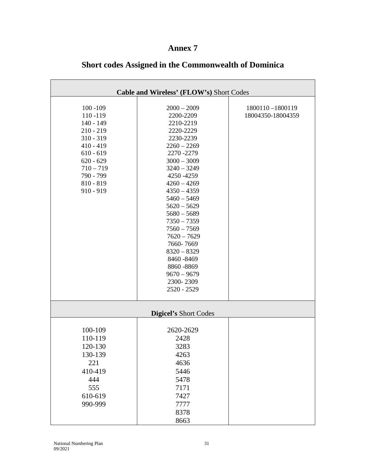| Cable and Wireless' (FLOW's) Short Codes                                                                                                                                   |                                                                                                                                                                                                                                                                                                                                                                                                   |                                      |  |
|----------------------------------------------------------------------------------------------------------------------------------------------------------------------------|---------------------------------------------------------------------------------------------------------------------------------------------------------------------------------------------------------------------------------------------------------------------------------------------------------------------------------------------------------------------------------------------------|--------------------------------------|--|
| $100 - 109$<br>110-119<br>$140 - 149$<br>$210 - 219$<br>$310 - 319$<br>$410 - 419$<br>$610 - 619$<br>$620 - 629$<br>$710 - 719$<br>790 - 799<br>$810 - 819$<br>$910 - 919$ | $2000 - 2009$<br>2200-2209<br>2210-2219<br>2220-2229<br>2230-2239<br>$2260 - 2269$<br>2270 - 2279<br>$3000 - 3009$<br>$3240 - 3249$<br>4250 - 4259<br>$4260 - 4269$<br>$4350 - 4359$<br>$5460 - 5469$<br>$5620 - 5629$<br>$5680 - 5689$<br>$7350 - 7359$<br>$7560 - 7569$<br>$7620 - 7629$<br>7660-7669<br>$8320 - 8329$<br>8460 - 8469<br>8860-8869<br>$9670 - 9679$<br>2300-2309<br>2520 - 2529 | 1800110-1800119<br>18004350-18004359 |  |
| <b>Digicel's Short Codes</b>                                                                                                                                               |                                                                                                                                                                                                                                                                                                                                                                                                   |                                      |  |
| 100-109<br>110-119<br>120-130<br>130-139<br>221<br>410-419<br>444<br>555<br>610-619<br>990-999                                                                             | 2620-2629<br>2428<br>3283<br>4263<br>4636<br>5446<br>5478<br>7171<br>7427<br>7777<br>8378<br>8663                                                                                                                                                                                                                                                                                                 |                                      |  |

## **Short codes Assigned in the Commonwealth of Dominica**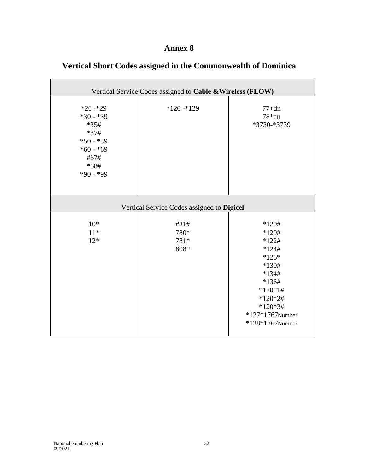| Vertical Service Codes assigned to Cable & Wireless (FLOW)                                                   |                                            |                                                                                                                                                                         |  |
|--------------------------------------------------------------------------------------------------------------|--------------------------------------------|-------------------------------------------------------------------------------------------------------------------------------------------------------------------------|--|
| $*20 - 29$<br>$*30 - *39$<br>$*35#$<br>$*37#$<br>$*50 - *59$<br>$*60 - *69$<br>#67#<br>$*68#$<br>$*90 - *99$ | $*120 - 129$                               | $77+dn$<br>$78*dn$<br>*3730-*3739                                                                                                                                       |  |
|                                                                                                              | Vertical Service Codes assigned to Digicel |                                                                                                                                                                         |  |
| $10*$<br>$11*$<br>$12*$                                                                                      | #31#<br>780*<br>781*<br>808*               | $*120#$<br>$*120#$<br>$*122#$<br>$*124#$<br>$*126*$<br>$*130#$<br>$*134#$<br>$*136#$<br>$*120*1#$<br>$*120*2#$<br>$*120*3#$<br>$*127*1767$ Number<br>$*128*1767$ Number |  |

## **Vertical Short Codes assigned in the Commonwealth of Dominica**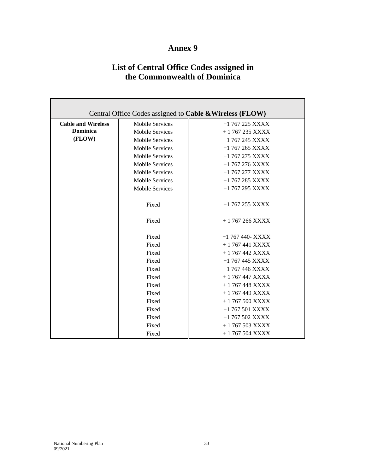## **List of Central Office Codes assigned in the Commonwealth of Dominica**

| Central Office Codes assigned to Cable & Wireless (FLOW) |                        |                    |  |  |
|----------------------------------------------------------|------------------------|--------------------|--|--|
| <b>Cable and Wireless</b>                                | <b>Mobile Services</b> | $+1$ 767 225 XXXX  |  |  |
| <b>Dominica</b>                                          | <b>Mobile Services</b> | $+1$ 767 235 XXXX  |  |  |
| (FLOW)                                                   | <b>Mobile Services</b> | $+1$ 767 245 XXXX  |  |  |
|                                                          | <b>Mobile Services</b> | $+1$ 767 265 XXXX  |  |  |
|                                                          | <b>Mobile Services</b> | $+1$ 767 275 XXXX  |  |  |
|                                                          | <b>Mobile Services</b> | $+1$ 767 276 XXXX  |  |  |
|                                                          | <b>Mobile Services</b> | $+1$ 767 277 XXXX  |  |  |
|                                                          | <b>Mobile Services</b> | $+1$ 767 285 XXXX  |  |  |
|                                                          | <b>Mobile Services</b> | $+1$ 767 295 XXXX  |  |  |
|                                                          |                        |                    |  |  |
|                                                          | Fixed                  | $+1$ 767 255 XXXX  |  |  |
|                                                          |                        |                    |  |  |
|                                                          | Fixed                  | $+1767266$ XXXX    |  |  |
|                                                          |                        |                    |  |  |
|                                                          | Fixed                  | $+1$ 767 440- XXXX |  |  |
|                                                          | Fixed                  | $+ 1767441 XXXX$   |  |  |
|                                                          | Fixed                  | $+1767442$ XXXX    |  |  |
|                                                          | Fixed                  | $+1$ 767 445 XXXX  |  |  |
|                                                          | Fixed                  | $+1$ 767 446 XXXX  |  |  |
|                                                          | Fixed                  | $+ 1767447 XXX$    |  |  |
|                                                          | Fixed                  | $+1767448$ XXXX    |  |  |
|                                                          | Fixed                  | $+1767449$ XXXX    |  |  |
|                                                          | Fixed                  | $+1767500$ XXXX    |  |  |
|                                                          | Fixed                  | $+1$ 767 501 XXXX  |  |  |
|                                                          | Fixed                  | $+1$ 767 502 XXXX  |  |  |
|                                                          | Fixed                  | $+1767503 XXXX$    |  |  |
|                                                          | Fixed                  | $+1767504 XXXX$    |  |  |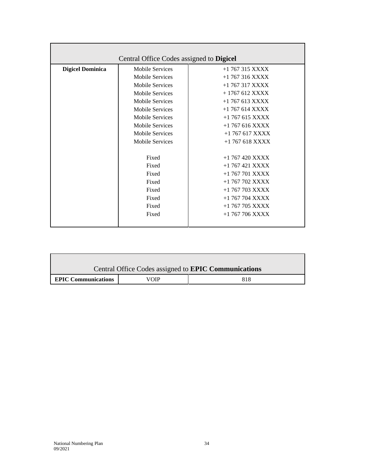| Central Office Codes assigned to <b>Digicel</b> |                        |                   |  |  |
|-------------------------------------------------|------------------------|-------------------|--|--|
| <b>Digicel Dominica</b>                         | <b>Mobile Services</b> | $+1$ 767 315 XXXX |  |  |
|                                                 | <b>Mobile Services</b> | $+1$ 767 316 XXXX |  |  |
|                                                 | <b>Mobile Services</b> | $+1$ 767 317 XXXX |  |  |
|                                                 | <b>Mobile Services</b> | $+1767612$ XXXX   |  |  |
|                                                 | <b>Mobile Services</b> | $+1$ 767 613 XXXX |  |  |
|                                                 | <b>Mobile Services</b> | $+1$ 767 614 XXXX |  |  |
|                                                 | <b>Mobile Services</b> | $+1$ 767 615 XXXX |  |  |
|                                                 | Mobile Services        | $+1$ 767 616 XXXX |  |  |
|                                                 | <b>Mobile Services</b> | $+1$ 767 617 XXXX |  |  |
|                                                 | Mobile Services        | $+1$ 767 618 XXXX |  |  |
|                                                 |                        |                   |  |  |
|                                                 | Fixed                  | $+1$ 767 420 XXXX |  |  |
|                                                 | Fixed                  | $+1$ 767 421 XXXX |  |  |
|                                                 | Fixed                  | $+1$ 767 701 XXXX |  |  |
|                                                 | Fixed                  | $+1$ 767 702 XXXX |  |  |
|                                                 | Fixed                  | $+1$ 767 703 XXXX |  |  |
|                                                 | Fixed                  | $+1$ 767 704 XXXX |  |  |
|                                                 | Fixed                  | $+1$ 767 705 XXXX |  |  |
|                                                 | Fixed                  | $+1$ 767 706 XXXX |  |  |
|                                                 |                        |                   |  |  |

| Central Office Codes assigned to <b>EPIC Communications</b> |  |     |  |  |
|-------------------------------------------------------------|--|-----|--|--|
| <b>EPIC Communications</b><br>VOIP                          |  | 818 |  |  |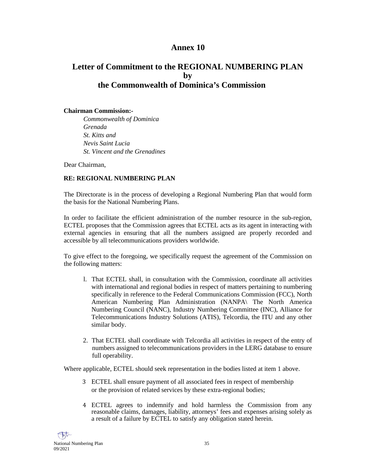## **Letter of Commitment to the REGIONAL NUMBERING PLAN by the Commonwealth of Dominica's Commission**

#### **Chairman Commission:-**

*Commonwealth of Dominica Grenada St. Kitts and Nevis Saint Lucia St. Vincent and the Grenadines* 

Dear Chairman,

#### **RE: REGIONAL NUMBERING PLAN**

The Directorate is in the process of developing a Regional Numbering Plan that would form the basis for the National Numbering Plans.

In order to facilitate the efficient administration of the number resource in the sub-region, ECTEL proposes that the Commission agrees that ECTEL acts as its agent in interacting with external agencies in ensuring that all the numbers assigned are properly recorded and accessible by all telecommunications providers worldwide.

To give effect to the foregoing, we specifically request the agreement of the Commission on the following matters:

- l. That ECTEL shall, in consultation with the Commission, coordinate all activities with international and regional bodies in respect of matters pertaining to numbering specifically in reference to the Federal Communications Commission (FCC), North American Numbering Plan Administration (NANPA\ The North America Numbering Council (NANC), Industry Numbering Committee (INC), Alliance for Telecommunications Industry Solutions (ATIS), Telcordia, the ITU and any other similar body.
- 2. That ECTEL shall coordinate with Telcordia all activities in respect of the entry of numbers assigned to telecommunications providers in the LERG database to ensure full operability.

Where applicable, ECTEL should seek representation in the bodies listed at item 1 above.

- 3 ECTEL shall ensure payment of all associated fees in respect of membership or the provision of related services by these extra-regional bodies;
- 4 ECTEL agrees to indemnify and hold harmless the Commission from any reasonable claims, damages, liability, attorneys' fees and expenses arising solely as a result of a failure by ECTEL to satisfy any obligation stated herein.

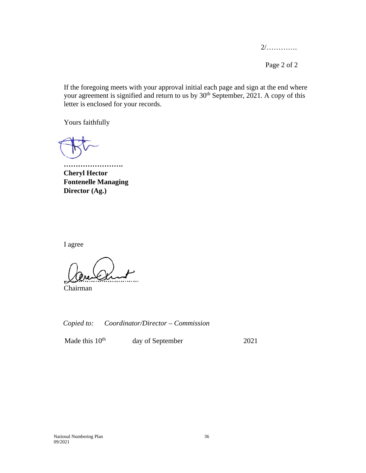2/………….

Page 2 of 2

If the foregoing meets with your approval initial each page and sign at the end where your agreement is signified and return to us by  $30<sup>th</sup>$  September, 2021. A copy of this letter is enclosed for your records.

Yours faithfully

**……………………. Cheryl Hector Fontenelle Managing Director (Ag.)** 

I agree

Chairman

*Copied to: Coordinator/Director – Commission* 

Made this 10<sup>th</sup> day of September 2021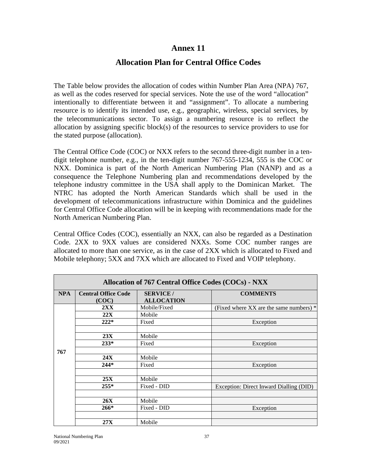#### **Allocation Plan for Central Office Codes**

The Table below provides the allocation of codes within Number Plan Area (NPA) 767, as well as the codes reserved for special services. Note the use of the word "allocation" intentionally to differentiate between it and "assignment". To allocate a numbering resource is to identify its intended use, e.g., geographic, wireless, special services, by the telecommunications sector. To assign a numbering resource is to reflect the allocation by assigning specific block(s) of the resources to service providers to use for the stated purpose (allocation).

The Central Office Code (COC) or NXX refers to the second three-digit number in a tendigit telephone number, e.g., in the ten-digit number 767-555-1234, 555 is the COC or NXX. Dominica is part of the North American Numbering Plan (NANP) and as a consequence the Telephone Numbering plan and recommendations developed by the telephone industry committee in the USA shall apply to the Dominican Market. The NTRC has adopted the North American Standards which shall be used in the development of telecommunications infrastructure within Dominica and the guidelines for Central Office Code allocation will be in keeping with recommendations made for the North American Numbering Plan.

Central Office Codes (COC), essentially an NXX, can also be regarded as a Destination Code. 2XX to 9XX values are considered NXXs. Some COC number ranges are allocated to more than one service, as in the case of 2XX which is allocated to Fixed and Mobile telephony; 5XX and 7XX which are allocated to Fixed and VOIP telephony.

| Allocation of 767 Central Office Codes (COCs) - NXX |                                     |                                       |                                           |  |
|-----------------------------------------------------|-------------------------------------|---------------------------------------|-------------------------------------------|--|
| <b>NPA</b>                                          | <b>Central Office Code</b><br>(COC) | <b>SERVICE</b> /<br><b>ALLOCATION</b> | <b>COMMENTS</b>                           |  |
|                                                     | 2XX                                 | Mobile/Fixed                          | (Fixed where XX are the same numbers) $*$ |  |
|                                                     | 22X                                 | Mobile                                |                                           |  |
|                                                     | $222*$                              | Fixed                                 | Exception                                 |  |
|                                                     |                                     |                                       |                                           |  |
|                                                     | 23X                                 | Mobile                                |                                           |  |
|                                                     | $233*$                              | Fixed                                 | Exception                                 |  |
| 767                                                 |                                     |                                       |                                           |  |
|                                                     | 24X                                 | Mobile                                |                                           |  |
|                                                     | $244*$                              | Fixed                                 | Exception                                 |  |
|                                                     |                                     |                                       |                                           |  |
|                                                     | 25X                                 | Mobile                                |                                           |  |
|                                                     | $255*$                              | Fixed - DID                           | Exception: Direct Inward Dialling (DID)   |  |
|                                                     |                                     |                                       |                                           |  |
|                                                     | <b>26X</b>                          | Mobile                                |                                           |  |
|                                                     | $266*$                              | Fixed - DID                           | Exception                                 |  |
|                                                     |                                     |                                       |                                           |  |
|                                                     | 27X                                 | Mobile                                |                                           |  |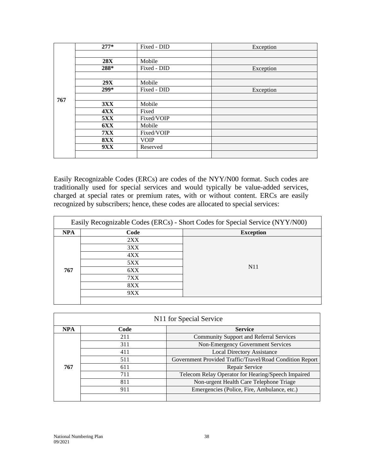|      | $277*$     | Fixed - DID | Exception |
|------|------------|-------------|-----------|
|      |            |             |           |
|      | <b>28X</b> | Mobile      |           |
| 288* |            | Fixed - DID | Exception |
|      |            |             |           |
|      | 29X        | Mobile      |           |
| 299* |            | Fixed - DID | Exception |
| 767  |            |             |           |
|      | 3XX        | Mobile      |           |
|      | <b>4XX</b> | Fixed       |           |
|      | <b>5XX</b> | Fixed/VOIP  |           |
|      | <b>6XX</b> | Mobile      |           |
|      | <b>7XX</b> | Fixed/VOIP  |           |
|      | <b>8XX</b> | <b>VOIP</b> |           |
|      | 9XX        | Reserved    |           |
|      |            |             |           |

Easily Recognizable Codes (ERCs) are codes of the NYY/N00 format. Such codes are traditionally used for special services and would typically be value-added services, charged at special rates or premium rates, with or without content. ERCs are easily recognized by subscribers; hence, these codes are allocated to special services:

| Easily Recognizable Codes (ERCs) - Short Codes for Special Service (NYY/N00) |      |                  |  |  |
|------------------------------------------------------------------------------|------|------------------|--|--|
| <b>NPA</b>                                                                   | Code | <b>Exception</b> |  |  |
|                                                                              | 2XX  |                  |  |  |
|                                                                              | 3XX  |                  |  |  |
|                                                                              | 4XX  |                  |  |  |
|                                                                              | 5XX  |                  |  |  |
| 767                                                                          | 6XX  | N <sub>1</sub> 1 |  |  |
|                                                                              | 7XX  |                  |  |  |
|                                                                              | 8XX  |                  |  |  |
|                                                                              | 9XX  |                  |  |  |
|                                                                              |      |                  |  |  |

| N <sub>11</sub> for Special Service |      |                                                          |  |  |  |
|-------------------------------------|------|----------------------------------------------------------|--|--|--|
| <b>NPA</b>                          | Code | <b>Service</b>                                           |  |  |  |
|                                     | 211  | <b>Community Support and Referral Services</b>           |  |  |  |
|                                     | 311  | Non-Emergency Government Services                        |  |  |  |
|                                     | 411  | <b>Local Directory Assistance</b>                        |  |  |  |
|                                     | 511  | Government Provided Traffic/Travel/Road Condition Report |  |  |  |
| 767                                 | 611  | Repair Service                                           |  |  |  |
|                                     | 711  | Telecom Relay Operator for Hearing/Speech Impaired       |  |  |  |
|                                     | 811  | Non-urgent Health Care Telephone Triage                  |  |  |  |
|                                     | 911  | Emergencies (Police, Fire, Ambulance, etc.)              |  |  |  |
|                                     |      |                                                          |  |  |  |